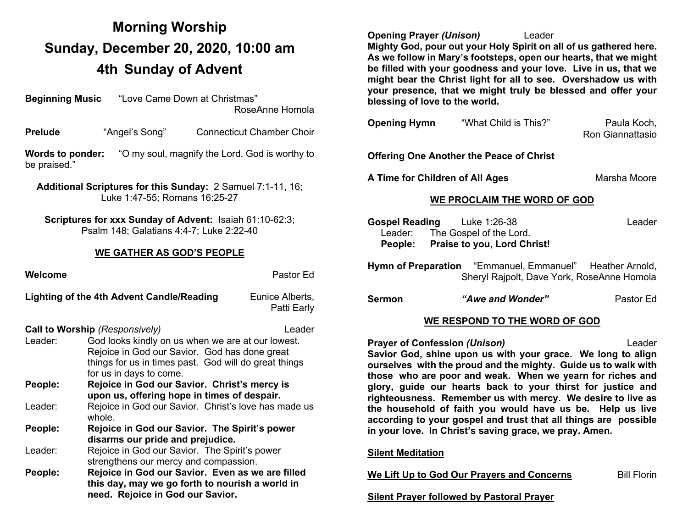# **Morning Worship Sunday, December 20, 2020, 10:00 am 4th Sunday of Advent**

**Beginning Music** "Love Came Down at Christmas" RoseAnne Homola

**Prelude** "Angel's Song" Connecticut Chamber Choir

**Words to ponder:** "O my soul, magnify the Lord. God is worthy to be praised."

**Additional Scriptures for this Sunday:** 2 Samuel 7:1-11, 16; Luke 1:47-55; Romans 16:25-27

**Scriptures for xxx Sunday of Advent:** Isaiah 61:10-62:3; Psalm 148; Galatians 4:4-7; Luke 2:22-40

#### **WE GATHER AS GOD'S PEOPLE**

| Welcome                                         |                                                                                                                                         | Pastor Ed                      |  |  |
|-------------------------------------------------|-----------------------------------------------------------------------------------------------------------------------------------------|--------------------------------|--|--|
|                                                 | Lighting of the 4th Advent Candle/Reading                                                                                               | Eunice Alberts,<br>Patti Early |  |  |
| <b>Call to Worship</b> (Responsively)<br>Leader |                                                                                                                                         |                                |  |  |
| Leader:                                         | God looks kindly on us when we are at our lowest.                                                                                       |                                |  |  |
|                                                 | Rejoice in God our Savior. God has done great                                                                                           |                                |  |  |
|                                                 | things for us in times past. God will do great things                                                                                   |                                |  |  |
|                                                 | for us in days to come.                                                                                                                 |                                |  |  |
| People:                                         | Rejoice in God our Savior. Christ's mercy is                                                                                            |                                |  |  |
|                                                 | upon us, offering hope in times of despair.                                                                                             |                                |  |  |
| Leader:                                         | Rejoice in God our Savior. Christ's love has made us<br>whole.                                                                          |                                |  |  |
| People:                                         | Rejoice in God our Savior. The Spirit's power                                                                                           |                                |  |  |
|                                                 | disarms our pride and prejudice.                                                                                                        |                                |  |  |
| Leader:                                         | Rejoice in God our Savior. The Spirit's power                                                                                           |                                |  |  |
|                                                 | strengthens our mercy and compassion.                                                                                                   |                                |  |  |
| People:                                         | Rejoice in God our Savior. Even as we are filled<br>this day, may we go forth to nourish a world in<br>need. Rejoice in God our Savior. |                                |  |  |

**Opening Prayer** *(Unison)* Leader

**Mighty God, pour out your Holy Spirit on all of us gathered here. As we follow in Mary's footsteps, open our hearts, that we might be filled with your goodness and your love. Live in us, that we might bear the Christ light for all to see. Overshadow us with your presence, that we might truly be blessed and offer your blessing of love to the world.**

|                                                                                                                                                                                                                                               | <b>Opening Hymn</b> "What Child is This?"                              | Paula Koch,<br>Ron Giannattasio |  |  |  |
|-----------------------------------------------------------------------------------------------------------------------------------------------------------------------------------------------------------------------------------------------|------------------------------------------------------------------------|---------------------------------|--|--|--|
| <b>Offering One Another the Peace of Christ</b>                                                                                                                                                                                               |                                                                        |                                 |  |  |  |
| A Time for Children of All Ages                                                                                                                                                                                                               |                                                                        | Marsha Moore                    |  |  |  |
| <b>WE PROCLAIM THE WORD OF GOD</b>                                                                                                                                                                                                            |                                                                        |                                 |  |  |  |
| Gospel Reading Luke 1:26-38                                                                                                                                                                                                                   | Leader: The Gospel of the Lord.<br>People: Praise to you, Lord Christ! | Leader                          |  |  |  |
| Hymn of Preparation "Emmanuel, Emmanuel" Heather Arnold,<br>Sheryl Rajpolt, Dave York, RoseAnne Homola                                                                                                                                        |                                                                        |                                 |  |  |  |
| <b>Sermon</b>                                                                                                                                                                                                                                 | "Awe and Wonder"                                                       | Pastor Ed                       |  |  |  |
| WE RESPOND TO THE WORD OF GOD                                                                                                                                                                                                                 |                                                                        |                                 |  |  |  |
| <b>Prayer of Confession (Unison)</b><br>I eader<br>Savior God, shine upon us with your grace. We long to align<br>ourselves with the proud and the mighty. Guide us to walk with<br>those who are poor and weak. When we yearn for riches and |                                                                        |                                 |  |  |  |

**those who are poor and weak. When we yearn for riches and glory, guide our hearts back to your thirst for justice and righteousness. Remember us with mercy. We desire to live as the household of faith you would have us be. Help us live according to your gospel and trust that all things are possible in your love. In Christ's saving grace, we pray. Amen.**

#### **Silent Meditation**

**We Lift Up to God Our Prayers and Concerns** Bill Florin

**Silent Prayer followed by Pastoral Prayer**